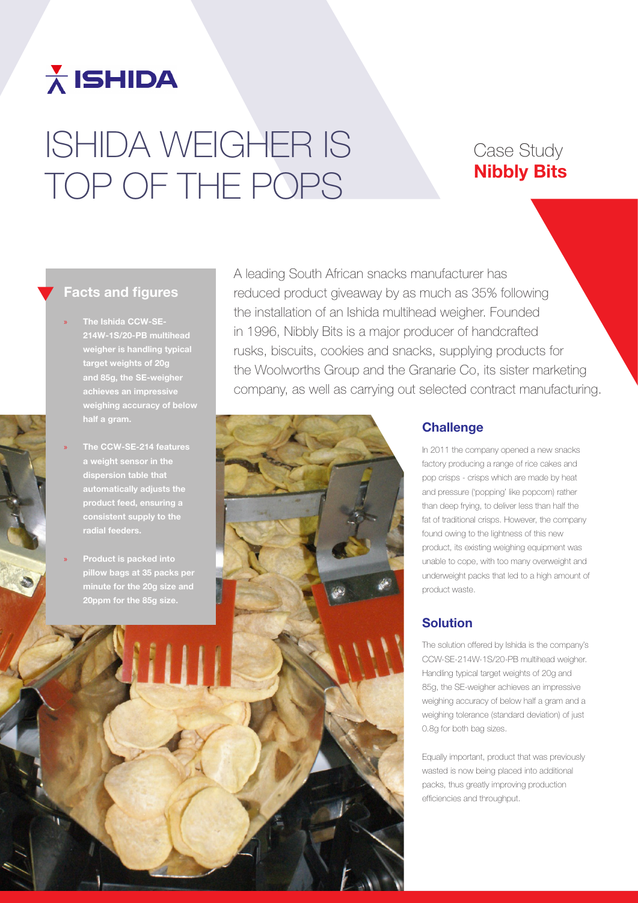

# ISHIDA WEIGHER IS TOP OF THE POPS

# Case Study Nibbly Bits

## Facts and figures

- » The Ishida CCW-SE-214W-1S/20-PB multihead weigher is handling typical target weights of 20g and 85g, the SE-weigher weighing accuracy of below half a gram.
- » The CCW-SE-214 features a weight sensor in the dispersion table that automatically adjusts the product feed, ensuring a consistent supply to the
- » Product is packed into minute for the 20g size and 20ppm for the 85g size.

A leading South African snacks manufacturer has reduced product giveaway by as much as 35% following the installation of an Ishida multihead weigher. Founded in 1996, Nibbly Bits is a major producer of handcrafted rusks, biscuits, cookies and snacks, supplying products for the Woolworths Group and the Granarie Co, its sister marketing company, as well as carrying out selected contract manufacturing.



#### **Challenge**

In 2011 the company opened a new snacks factory producing a range of rice cakes and pop crisps - crisps which are made by heat and pressure ('popping' like popcorn) rather than deep frying, to deliver less than half the fat of traditional crisps. However, the company found owing to the lightness of this new product, its existing weighing equipment was unable to cope, with too many overweight and underweight packs that led to a high amount of product waste.

## Solution

The solution offered by Ishida is the company's CCW-SE-214W-1S/20-PB multihead weigher. Handling typical target weights of 20g and 85g, the SE-weigher achieves an impressive weighing accuracy of below half a gram and a weighing tolerance (standard deviation) of just 0.8g for both bag sizes.

Equally important, product that was previously wasted is now being placed into additional packs, thus greatly improving production efficiencies and throughput.